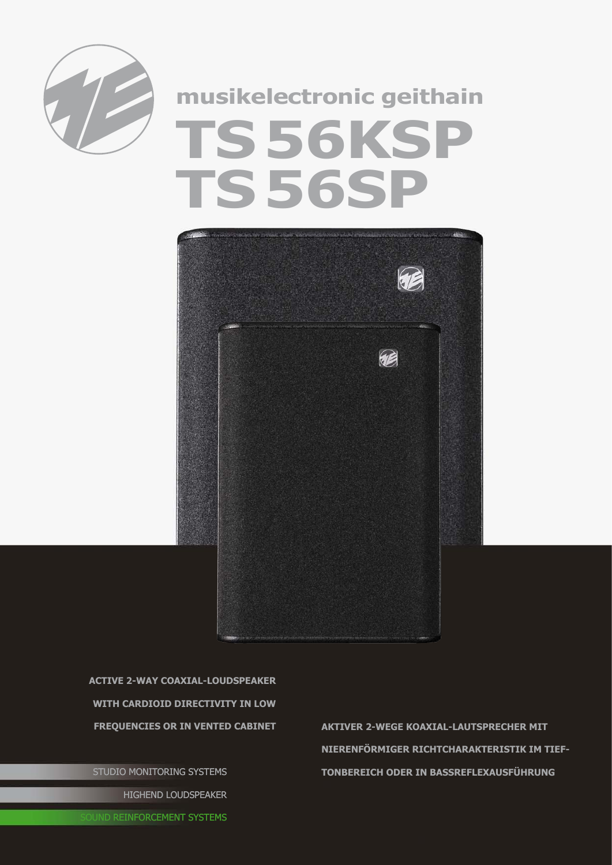

## **musikelectronic geithain TS56KSP TS56SP**



**active 2-way coaxial-Loudspeaker with cardioid Directivity in low** 

STUDIO MONITORING SYSTEMS HIGHEND LOUDSPEAKER

**Frequencies or in vented cabinet Aktiver 2-wEGE Koaxial-lAUTSPRECHER mit Nierenförmiger Richtcharakteristik im Tieftonbereich oder in Bassreflexausführung**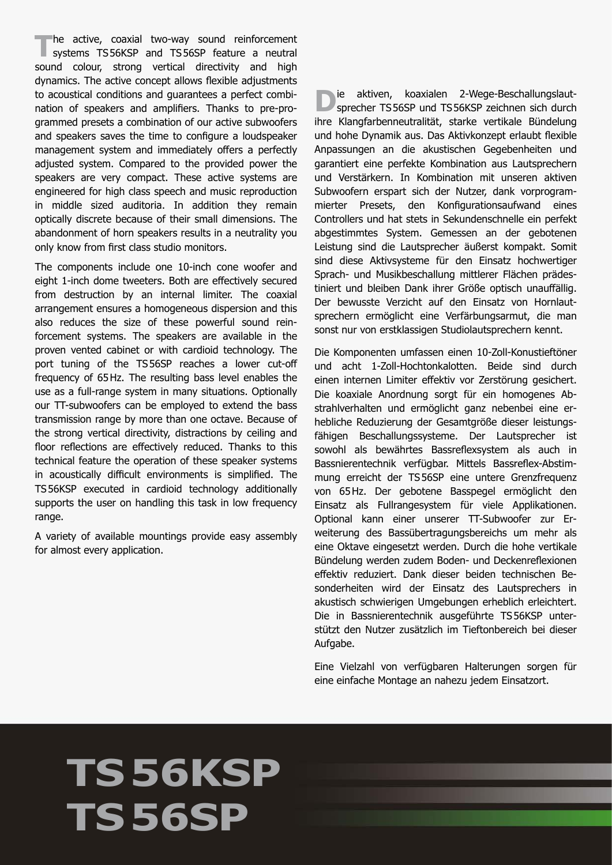The active, coaxial two-way sound reinforcement<br>
systems TS56KSP and TS56SP feature a neutral sound colour, strong vertical directivity and high dynamics. The active concept allows flexible adjustments to acoustical conditions and guarantees a perfect combination of speakers and amplifiers. Thanks to pre-programmed presets a combination of our active subwoofers and speakers saves the time to configure a loudspeaker management system and immediately offers a perfectly adjusted system. Compared to the provided power the speakers are very compact. These active systems are engineered for high class speech and music reproduction in middle sized auditoria. In addition they remain optically discrete because of their small dimensions. The abandonment of horn speakers results in a neutrality you only know from first class studio monitors.

The components include one 10-inch cone woofer and eight 1-inch dome tweeters. Both are effectively secured from destruction by an internal limiter. The coaxial arrangement ensures a homogeneous dispersion and this also reduces the size of these powerful sound reinforcement systems. The speakers are available in the proven vented cabinet or with cardioid technology. The port tuning of the TS56SP reaches a lower cut-off frequency of 65Hz. The resulting bass level enables the use as a full-range system in many situations. Optionally our TT-subwoofers can be employed to extend the bass transmission range by more than one octave. Because of the strong vertical directivity, distractions by ceiling and floor reflections are effectively reduced. Thanks to this technical feature the operation of these speaker systems in acoustically difficult environments is simplified. The TS56KSP executed in cardioid technology additionally supports the user on handling this task in low frequency range.

A variety of available mountings provide easy assembly for almost every application.

**D**ie aktiven, koaxialen 2-Wege-Beschallungslaut-<br>sprecher TS56SP und TS56KSP zeichnen sich durch ihre Klangfarbenneutralität, starke vertikale Bündelung und hohe Dynamik aus. Das Aktivkonzept erlaubt flexible Anpassungen an die akustischen Gegebenheiten und garantiert eine perfekte Kombination aus Lautsprechern und Verstärkern. In Kombination mit unseren aktiven Subwoofern erspart sich der Nutzer, dank vorprogrammierter Presets, den Konfigurationsaufwand eines Controllers und hat stets in Sekundenschnelle ein perfekt abgestimmtes System. Gemessen an der gebotenen Leistung sind die Lautsprecher äußerst kompakt. Somit sind diese Aktivsysteme für den Einsatz hochwertiger Sprach- und Musikbeschallung mittlerer Flächen prädestiniert und bleiben Dank ihrer Größe optisch unaufällig. Der bewusste Verzicht auf den Einsatz von Hornlautsprechern ermöglicht eine Verfärbungsarmut, die man sonst nur von erstklassigen Studiolautsprechern kennt.

Die Komponenten umfassen einen 10-Zoll-Konustieftöner und acht 1-Zoll-Hochtonkalotten. Beide sind durch einen internen Limiter effektiv vor Zerstörung gesichert. Die koaxiale Anordnung sorgt für ein homogenes Abstrahlverhalten und ermöglicht ganz nebenbei eine erhebliche Reduzierung der Gesamtgröße dieser leistungsfähigen Beschallungssysteme. Der Lautsprecher ist sowohl als bewährtes Bassreflexsystem als auch in Bassnierentechnik verfügbar. Mittels Bassreflex-Abstimmung erreicht der TS56SP eine untere Grenzfrequenz von 65Hz. Der gebotene Basspegel ermöglicht den Einsatz als Fullrangesystem für viele Applikationen. Optional kann einer unserer TT-Subwoofer zur Erweiterung des Bassübertragungsbereichs um mehr als eine Oktave eingesetzt werden. Durch die hohe vertikale Bündelung werden zudem Boden- und Deckenreflexionen effektiv reduziert. Dank dieser beiden technischen Besonderheiten wird der Einsatz des Lautsprechers in akustisch schwierigen Umgebungen erheblich erleichtert. Die in Bassnierentechnik ausgeführte TS56KSP unterstützt den Nutzer zusätzlich im Tieftonbereich bei dieser Aufgabe.

Eine Vielzahl von verfügbaren Halterungen sorgen für eine einfache Montage an nahezu jedem Einsatzort.

## **TS56KSP TS56SP**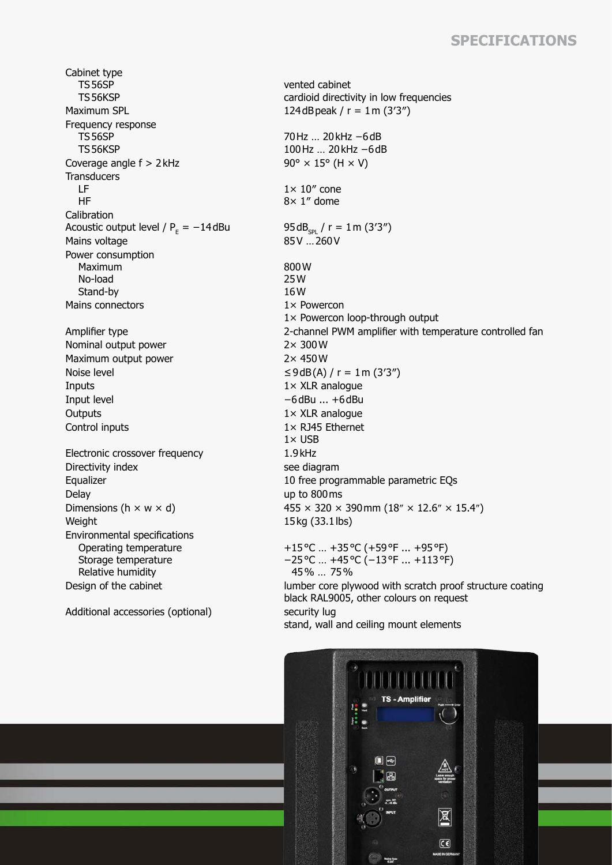## **Specifications**

Cabinet type TS56SP TS56KSP Maximum SPL  $124 dB$ peak /  $r = 1$ m (3'3") Frequency response TS56SP TS56KSP Coverage angle  $f > 2$  kHz 90°  $\times$  15° (H  $\times$  V) **Transducers**  LF HF **Calibration** Acoustic output level /  $P_E = -14$  dBu Mains voltage Power consumption Maximum No-load Stand-by Mains connectors 1× Powercon Nominal output power 2× 300W Maximum output power 2× 450W Noise level  $≤9dB(A) / r = 1m (3'3'')$ Inputs 1× XLR analogue Input level −6dBu ... +6dBu Outputs 1× XLR analogue Control inputs 1× RJ45 Ethernet Electronic crossover frequency 1.9kHz Directivity index see diagram Delay up to 800ms Weight 15kg (33.1lbs) Environmental specifications Operating temperature Storage temperature Relative humidity

Additional accessories (optional) security lug

vented cabinet cardioid directivity in low frequencies 70Hz … 20kHz −6dB 100Hz … 20kHz −6dB  $1 \times 10''$  cone 8× 1″ dome  $95dB_{\rm spl}$  / r = 1m (3′3″)<br>85V …260V 800W 25W 16W 1× Powercon loop-through output Amplifier type 2-channel PWM amplifier with temperature controlled fan  $1 \times$  USB Equalizer 10 free programmable parametric EQs Dimensions (h  $\times$  w  $\times$  d) 455  $\times$  320  $\times$  390 mm (18"  $\times$  12.6"  $\times$  15.4") +15°C … +35°C (+59°F ... +95°F) −25°C … +45°C (−13°F ... +113°F)

 45% … 75% Design of the cabinet lumber core plywood with scratch proof structure coating black RAL9005, other colours on request stand, wall and ceiling mount elements